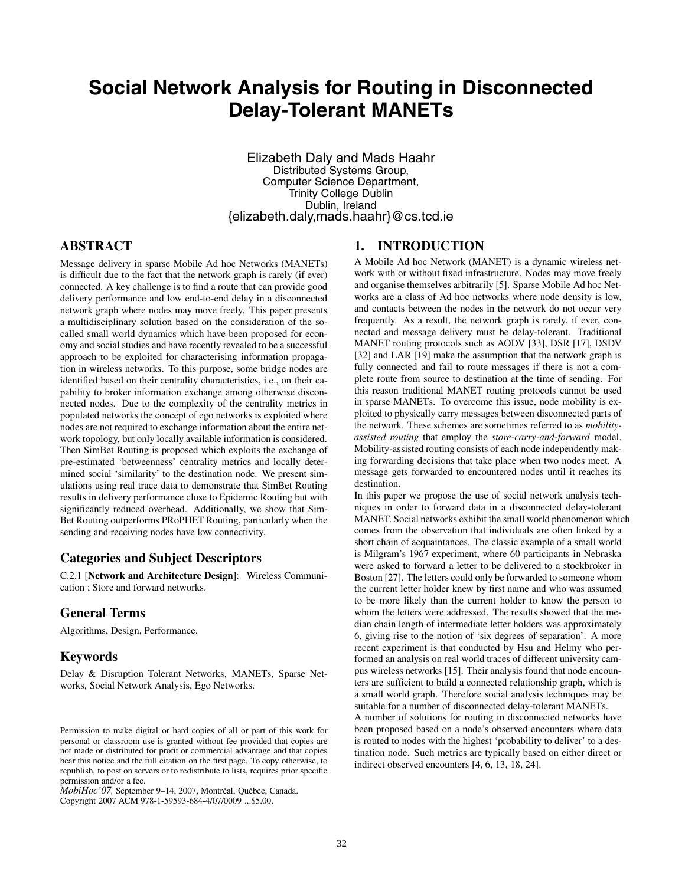# **Social Network Analysis for Routing in Disconnected Delay-Tolerant MANETs**

Elizabeth Daly and Mads Haahr Distributed Systems Group, Computer Science Department, Trinity College Dublin Dublin, Ireland {elizabeth.daly,mads.haahr}@cs.tcd.ie

# **ABSTRACT**

Message delivery in sparse Mobile Ad hoc Networks (MANETs) is difficult due to the fact that the network graph is rarely (if ever) connected. A key challenge is to find a route that can provide good delivery performance and low end-to-end delay in a disconnected network graph where nodes may move freely. This paper presents a multidisciplinary solution based on the consideration of the socalled small world dynamics which have been proposed for economy and social studies and have recently revealed to be a successful approach to be exploited for characterising information propagation in wireless networks. To this purpose, some bridge nodes are identified based on their centrality characteristics, i.e., on their capability to broker information exchange among otherwise disconnected nodes. Due to the complexity of the centrality metrics in populated networks the concept of ego networks is exploited where nodes are not required to exchange information about the entire network topology, but only locally available information is considered. Then SimBet Routing is proposed which exploits the exchange of pre-estimated 'betweenness' centrality metrics and locally determined social 'similarity' to the destination node. We present simulations using real trace data to demonstrate that SimBet Routing results in delivery performance close to Epidemic Routing but with significantly reduced overhead. Additionally, we show that Sim-Bet Routing outperforms PRoPHET Routing, particularly when the sending and receiving nodes have low connectivity.

# **Categories and Subject Descriptors**

C.2.1 [**Network and Architecture Design**]: Wireless Communication ; Store and forward networks.

# **General Terms**

Algorithms, Design, Performance.

#### **Keywords**

Delay & Disruption Tolerant Networks, MANETs, Sparse Networks, Social Network Analysis, Ego Networks.

*MobiHoc'07,* September 9–14, 2007, Montréal, Québec, Canada. Copyright 2007 ACM 978-1-59593-684-4/07/0009 ...\$5.00.

# **1. INTRODUCTION**

A Mobile Ad hoc Network (MANET) is a dynamic wireless network with or without fixed infrastructure. Nodes may move freely and organise themselves arbitrarily [5]. Sparse Mobile Ad hoc Networks are a class of Ad hoc networks where node density is low, and contacts between the nodes in the network do not occur very frequently. As a result, the network graph is rarely, if ever, connected and message delivery must be delay-tolerant. Traditional MANET routing protocols such as AODV [33], DSR [17], DSDV [32] and LAR [19] make the assumption that the network graph is fully connected and fail to route messages if there is not a complete route from source to destination at the time of sending. For this reason traditional MANET routing protocols cannot be used in sparse MANETs. To overcome this issue, node mobility is exploited to physically carry messages between disconnected parts of the network. These schemes are sometimes referred to as *mobilityassisted routing* that employ the *store-carry-and-forward* model. Mobility-assisted routing consists of each node independently making forwarding decisions that take place when two nodes meet. A message gets forwarded to encountered nodes until it reaches its destination.

In this paper we propose the use of social network analysis techniques in order to forward data in a disconnected delay-tolerant MANET. Social networks exhibit the small world phenomenon which comes from the observation that individuals are often linked by a short chain of acquaintances. The classic example of a small world is Milgram's 1967 experiment, where 60 participants in Nebraska were asked to forward a letter to be delivered to a stockbroker in Boston [27]. The letters could only be forwarded to someone whom the current letter holder knew by first name and who was assumed to be more likely than the current holder to know the person to whom the letters were addressed. The results showed that the median chain length of intermediate letter holders was approximately 6, giving rise to the notion of 'six degrees of separation'. A more recent experiment is that conducted by Hsu and Helmy who performed an analysis on real world traces of different university campus wireless networks [15]. Their analysis found that node encounters are sufficient to build a connected relationship graph, which is a small world graph. Therefore social analysis techniques may be suitable for a number of disconnected delay-tolerant MANETs. A number of solutions for routing in disconnected networks have

been proposed based on a node's observed encounters where data is routed to nodes with the highest 'probability to deliver' to a destination node. Such metrics are typically based on either direct or indirect observed encounters [4, 6, 13, 18, 24].

Permission to make digital or hard copies of all or part of this work for personal or classroom use is granted without fee provided that copies are not made or distributed for profit or commercial advantage and that copies bear this notice and the full citation on the first page. To copy otherwise, to republish, to post on servers or to redistribute to lists, requires prior specific permission and/or a fee.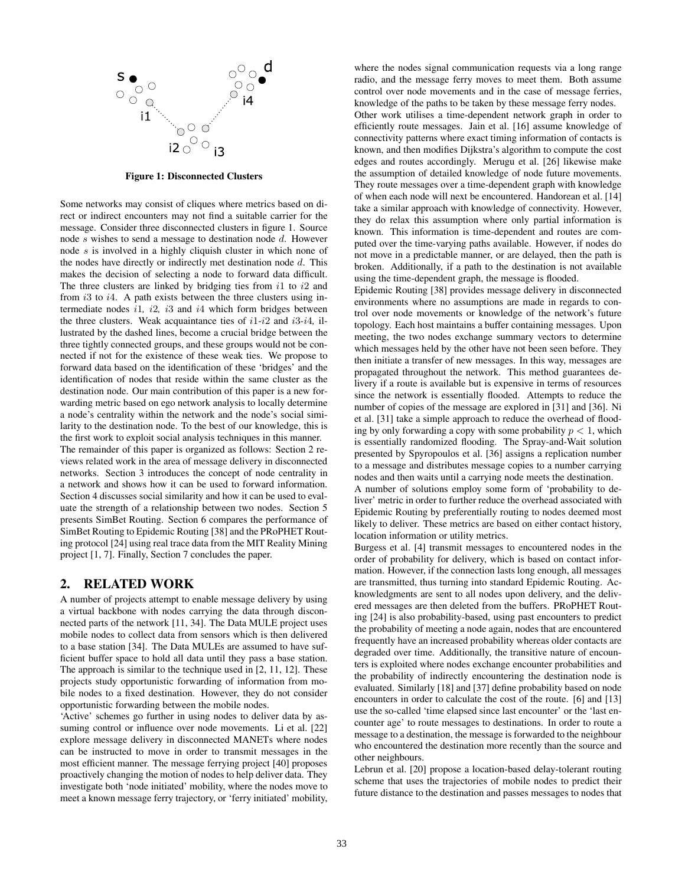

**Figure 1: Disconnected Clusters**

Some networks may consist of cliques where metrics based on direct or indirect encounters may not find a suitable carrier for the message. Consider three disconnected clusters in figure 1. Source node s wishes to send a message to destination node d. However node s is involved in a highly cliquish cluster in which none of the nodes have directly or indirectly met destination node  $d$ . This makes the decision of selecting a node to forward data difficult. The three clusters are linked by bridging ties from  $i1$  to  $i2$  and from  $i3$  to  $i4$ . A path exists between the three clusters using intermediate nodes i1*,* i2*,* i3 and i4 which form bridges between the three clusters. Weak acquaintance ties of i1-i2 and i3*-*i4*,* illustrated by the dashed lines, become a crucial bridge between the three tightly connected groups, and these groups would not be connected if not for the existence of these weak ties. We propose to forward data based on the identification of these 'bridges' and the identification of nodes that reside within the same cluster as the destination node. Our main contribution of this paper is a new forwarding metric based on ego network analysis to locally determine a node's centrality within the network and the node's social similarity to the destination node. To the best of our knowledge, this is the first work to exploit social analysis techniques in this manner.

The remainder of this paper is organized as follows: Section 2 reviews related work in the area of message delivery in disconnected networks. Section 3 introduces the concept of node centrality in a network and shows how it can be used to forward information. Section 4 discusses social similarity and how it can be used to evaluate the strength of a relationship between two nodes. Section 5 presents SimBet Routing. Section 6 compares the performance of SimBet Routing to Epidemic Routing [38] and the PRoPHET Routing protocol [24] using real trace data from the MIT Reality Mining project [1, 7]. Finally, Section 7 concludes the paper.

#### **2. RELATED WORK**

A number of projects attempt to enable message delivery by using a virtual backbone with nodes carrying the data through disconnected parts of the network [11, 34]. The Data MULE project uses mobile nodes to collect data from sensors which is then delivered to a base station [34]. The Data MULEs are assumed to have sufficient buffer space to hold all data until they pass a base station. The approach is similar to the technique used in [2, 11, 12]. These projects study opportunistic forwarding of information from mobile nodes to a fixed destination. However, they do not consider opportunistic forwarding between the mobile nodes.

'Active' schemes go further in using nodes to deliver data by assuming control or influence over node movements. Li et al. [22] explore message delivery in disconnected MANETs where nodes can be instructed to move in order to transmit messages in the most efficient manner. The message ferrying project [40] proposes proactively changing the motion of nodes to help deliver data. They investigate both 'node initiated' mobility, where the nodes move to meet a known message ferry trajectory, or 'ferry initiated' mobility,

where the nodes signal communication requests via a long range radio, and the message ferry moves to meet them. Both assume control over node movements and in the case of message ferries, knowledge of the paths to be taken by these message ferry nodes. Other work utilises a time-dependent network graph in order to efficiently route messages. Jain et al. [16] assume knowledge of connectivity patterns where exact timing information of contacts is known, and then modifies Dijkstra's algorithm to compute the cost edges and routes accordingly. Merugu et al. [26] likewise make the assumption of detailed knowledge of node future movements. They route messages over a time-dependent graph with knowledge of when each node will next be encountered. Handorean et al. [14] take a similar approach with knowledge of connectivity. However, they do relax this assumption where only partial information is known. This information is time-dependent and routes are computed over the time-varying paths available. However, if nodes do not move in a predictable manner, or are delayed, then the path is broken. Additionally, if a path to the destination is not available using the time-dependent graph, the message is flooded.

Epidemic Routing [38] provides message delivery in disconnected environments where no assumptions are made in regards to control over node movements or knowledge of the network's future topology. Each host maintains a buffer containing messages. Upon meeting, the two nodes exchange summary vectors to determine which messages held by the other have not been seen before. They then initiate a transfer of new messages. In this way, messages are propagated throughout the network. This method guarantees delivery if a route is available but is expensive in terms of resources since the network is essentially flooded. Attempts to reduce the number of copies of the message are explored in [31] and [36]. Ni et al. [31] take a simple approach to reduce the overhead of flooding by only forwarding a copy with some probability  $p < 1$ , which is essentially randomized flooding. The Spray-and-Wait solution presented by Spyropoulos et al. [36] assigns a replication number to a message and distributes message copies to a number carrying nodes and then waits until a carrying node meets the destination.

A number of solutions employ some form of 'probability to deliver' metric in order to further reduce the overhead associated with Epidemic Routing by preferentially routing to nodes deemed most likely to deliver. These metrics are based on either contact history, location information or utility metrics.

Burgess et al. [4] transmit messages to encountered nodes in the order of probability for delivery, which is based on contact information. However, if the connection lasts long enough, all messages are transmitted, thus turning into standard Epidemic Routing. Acknowledgments are sent to all nodes upon delivery, and the delivered messages are then deleted from the buffers. PRoPHET Routing [24] is also probability-based, using past encounters to predict the probability of meeting a node again, nodes that are encountered frequently have an increased probability whereas older contacts are degraded over time. Additionally, the transitive nature of encounters is exploited where nodes exchange encounter probabilities and the probability of indirectly encountering the destination node is evaluated. Similarly [18] and [37] define probability based on node encounters in order to calculate the cost of the route. [6] and [13] use the so-called 'time elapsed since last encounter' or the 'last encounter age' to route messages to destinations. In order to route a message to a destination, the message is forwarded to the neighbour who encountered the destination more recently than the source and other neighbours.

Lebrun et al. [20] propose a location-based delay-tolerant routing scheme that uses the trajectories of mobile nodes to predict their future distance to the destination and passes messages to nodes that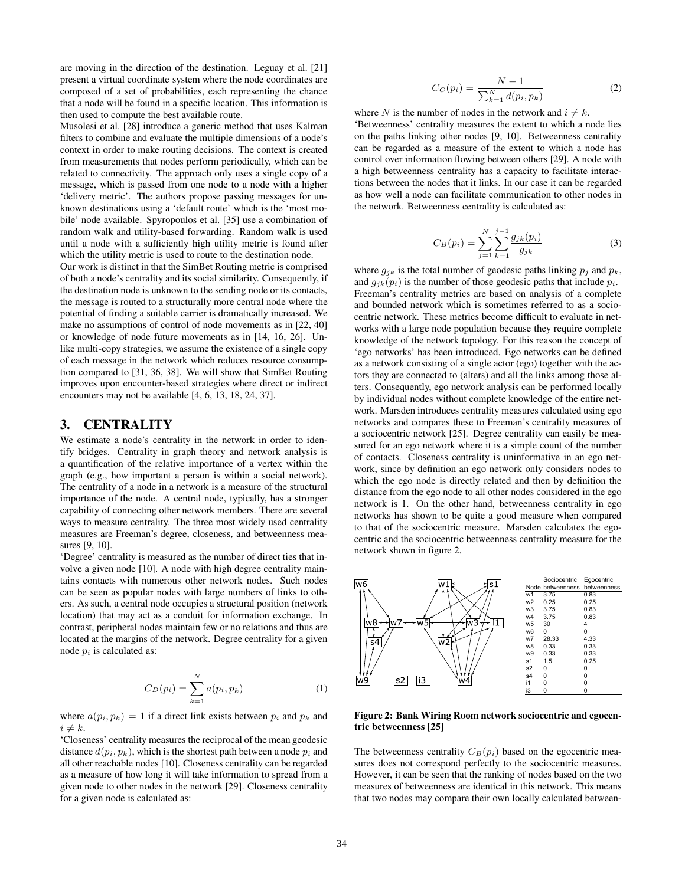are moving in the direction of the destination. Leguay et al. [21] present a virtual coordinate system where the node coordinates are composed of a set of probabilities, each representing the chance that a node will be found in a specific location. This information is then used to compute the best available route.

Musolesi et al. [28] introduce a generic method that uses Kalman filters to combine and evaluate the multiple dimensions of a node's context in order to make routing decisions. The context is created from measurements that nodes perform periodically, which can be related to connectivity. The approach only uses a single copy of a message, which is passed from one node to a node with a higher 'delivery metric'. The authors propose passing messages for unknown destinations using a 'default route' which is the 'most mobile' node available. Spyropoulos et al. [35] use a combination of random walk and utility-based forwarding. Random walk is used until a node with a sufficiently high utility metric is found after which the utility metric is used to route to the destination node.

Our work is distinct in that the SimBet Routing metric is comprised of both a node's centrality and its social similarity. Consequently, if the destination node is unknown to the sending node or its contacts, the message is routed to a structurally more central node where the potential of finding a suitable carrier is dramatically increased. We make no assumptions of control of node movements as in [22, 40] or knowledge of node future movements as in [14, 16, 26]. Unlike multi-copy strategies, we assume the existence of a single copy of each message in the network which reduces resource consumption compared to [31, 36, 38]. We will show that SimBet Routing improves upon encounter-based strategies where direct or indirect encounters may not be available [4, 6, 13, 18, 24, 37].

# **3. CENTRALITY**

We estimate a node's centrality in the network in order to identify bridges. Centrality in graph theory and network analysis is a quantification of the relative importance of a vertex within the graph (e.g., how important a person is within a social network). The centrality of a node in a network is a measure of the structural importance of the node. A central node, typically, has a stronger capability of connecting other network members. There are several ways to measure centrality. The three most widely used centrality measures are Freeman's degree, closeness, and betweenness measures [9, 10].

'Degree' centrality is measured as the number of direct ties that involve a given node [10]. A node with high degree centrality maintains contacts with numerous other network nodes. Such nodes can be seen as popular nodes with large numbers of links to others. As such, a central node occupies a structural position (network location) that may act as a conduit for information exchange. In contrast, peripheral nodes maintain few or no relations and thus are located at the margins of the network. Degree centrality for a given node p*<sup>i</sup>* is calculated as:

$$
C_D(p_i) = \sum_{k=1}^{N} a(p_i, p_k)
$$
 (1)

where  $a(p_i, p_k) = 1$  if a direct link exists between  $p_i$  and  $p_k$  and  $i \neq k$ .

'Closeness' centrality measures the reciprocal of the mean geodesic distance  $d(p_i, p_k)$ , which is the shortest path between a node  $p_i$  and all other reachable nodes [10]. Closeness centrality can be regarded as a measure of how long it will take information to spread from a given node to other nodes in the network [29]. Closeness centrality for a given node is calculated as:

$$
C_C(p_i) = \frac{N - 1}{\sum_{k=1}^{N} d(p_i, p_k)}
$$
 (2)

where N is the number of nodes in the network and  $i \neq k$ .

'Betweenness' centrality measures the extent to which a node lies on the paths linking other nodes [9, 10]. Betweenness centrality can be regarded as a measure of the extent to which a node has control over information flowing between others [29]. A node with a high betweenness centrality has a capacity to facilitate interactions between the nodes that it links. In our case it can be regarded as how well a node can facilitate communication to other nodes in the network. Betweenness centrality is calculated as:

$$
C_B(p_i) = \sum_{j=1}^{N} \sum_{k=1}^{j-1} \frac{g_{jk}(p_i)}{g_{jk}}
$$
(3)

where  $g_{jk}$  is the total number of geodesic paths linking  $p_j$  and  $p_k$ , and  $g_{jk}(p_i)$  is the number of those geodesic paths that include  $p_i$ . Freeman's centrality metrics are based on analysis of a complete and bounded network which is sometimes referred to as a sociocentric network. These metrics become difficult to evaluate in networks with a large node population because they require complete knowledge of the network topology. For this reason the concept of 'ego networks' has been introduced. Ego networks can be defined as a network consisting of a single actor (ego) together with the actors they are connected to (alters) and all the links among those alters. Consequently, ego network analysis can be performed locally by individual nodes without complete knowledge of the entire network. Marsden introduces centrality measures calculated using ego networks and compares these to Freeman's centrality measures of a sociocentric network [25]. Degree centrality can easily be measured for an ego network where it is a simple count of the number of contacts. Closeness centrality is uninformative in an ego network, since by definition an ego network only considers nodes to which the ego node is directly related and then by definition the distance from the ego node to all other nodes considered in the ego network is 1. On the other hand, betweenness centrality in ego networks has shown to be quite a good measure when compared to that of the sociocentric measure. Marsden calculates the egocentric and the sociocentric betweenness centrality measure for the network shown in figure 2.



**Figure 2: Bank Wiring Room network sociocentric and egocentric betweenness [25]**

The betweenness centrality  $C_B(p_i)$  based on the egocentric measures does not correspond perfectly to the sociocentric measures. However, it can be seen that the ranking of nodes based on the two measures of betweenness are identical in this network. This means that two nodes may compare their own locally calculated between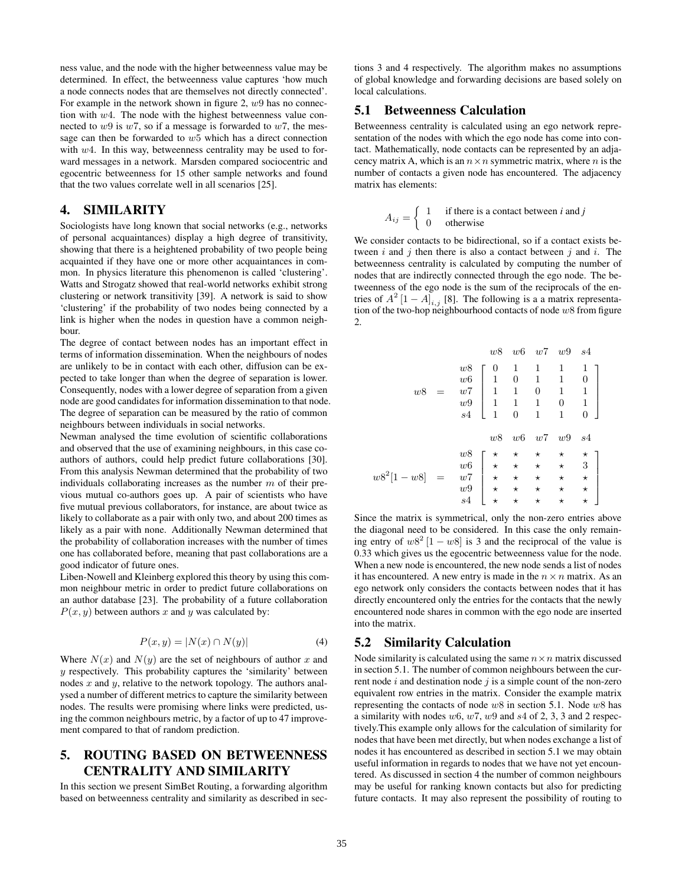ness value, and the node with the higher betweenness value may be determined. In effect, the betweenness value captures 'how much a node connects nodes that are themselves not directly connected'. For example in the network shown in figure 2,  $w9$  has no connection with  $w4$ . The node with the highest betweenness value connected to  $w9$  is  $w7$ , so if a message is forwarded to  $w7$ , the message can then be forwarded to  $w5$  which has a direct connection with  $w4$ . In this way, betweenness centrality may be used to forward messages in a network. Marsden compared sociocentric and egocentric betweenness for 15 other sample networks and found that the two values correlate well in all scenarios [25].

# **4. SIMILARITY**

Sociologists have long known that social networks (e.g., networks of personal acquaintances) display a high degree of transitivity, showing that there is a heightened probability of two people being acquainted if they have one or more other acquaintances in common. In physics literature this phenomenon is called 'clustering'. Watts and Strogatz showed that real-world networks exhibit strong clustering or network transitivity [39]. A network is said to show 'clustering' if the probability of two nodes being connected by a link is higher when the nodes in question have a common neighbour.

The degree of contact between nodes has an important effect in terms of information dissemination. When the neighbours of nodes are unlikely to be in contact with each other, diffusion can be expected to take longer than when the degree of separation is lower. Consequently, nodes with a lower degree of separation from a given node are good candidates for information dissemination to that node. The degree of separation can be measured by the ratio of common neighbours between individuals in social networks.

Newman analysed the time evolution of scientific collaborations and observed that the use of examining neighbours, in this case coauthors of authors, could help predict future collaborations [30]. From this analysis Newman determined that the probability of two individuals collaborating increases as the number  $m$  of their previous mutual co-authors goes up. A pair of scientists who have five mutual previous collaborators, for instance, are about twice as likely to collaborate as a pair with only two, and about 200 times as likely as a pair with none. Additionally Newman determined that the probability of collaboration increases with the number of times one has collaborated before, meaning that past collaborations are a good indicator of future ones.

Liben-Nowell and Kleinberg explored this theory by using this common neighbour metric in order to predict future collaborations on an author database [23]. The probability of a future collaboration  $P(x, y)$  between authors x and y was calculated by:

$$
P(x, y) = |N(x) \cap N(y)| \tag{4}
$$

Where  $N(x)$  and  $N(y)$  are the set of neighbours of author x and  $y$  respectively. This probability captures the 'similarity' between nodes  $x$  and  $y$ , relative to the network topology. The authors analysed a number of different metrics to capture the similarity between nodes. The results were promising where links were predicted, using the common neighbours metric, by a factor of up to 47 improvement compared to that of random prediction.

# **5. ROUTING BASED ON BETWEENNESS CENTRALITY AND SIMILARITY**

In this section we present SimBet Routing, a forwarding algorithm based on betweenness centrality and similarity as described in sections 3 and 4 respectively. The algorithm makes no assumptions of global knowledge and forwarding decisions are based solely on local calculations.

# **5.1 Betweenness Calculation**

Betweenness centrality is calculated using an ego network representation of the nodes with which the ego node has come into contact. Mathematically, node contacts can be represented by an adjacency matrix A, which is an  $n \times n$  symmetric matrix, where n is the number of contacts a given node has encountered. The adjacency matrix has elements:

$$
A_{ij} = \begin{cases} 1 & \text{if there is a contact between } i \text{ and } j \\ 0 & \text{otherwise} \end{cases}
$$

We consider contacts to be bidirectional, so if a contact exists between  $i$  and  $j$  then there is also a contact between  $j$  and  $i$ . The betweenness centrality is calculated by computing the number of nodes that are indirectly connected through the ego node. The betweenness of the ego node is the sum of the reciprocals of the entries of  $A^2$  [1 – A]<sub>*i,j*</sub> [8]. The following is a a matrix representation of the two-hop neighbourhood contacts of node  $w8$  from figure 2.

$$
w8 \t w6 \t w7 \t w9 \t s4
$$
  
\n
$$
w8 = \begin{bmatrix} 0 & 1 & 1 & 1 & 1 \\ w6 & 1 & 0 & 1 & 1 & 0 \\ w7 & 1 & 1 & 0 & 1 & 1 \\ w9 & 1 & 1 & 1 & 0 & 1 \\ s4 & 1 & 0 & 1 & 1 & 0 \end{bmatrix}
$$
  
\n
$$
w8 \t w6 \t w7 \t w9 \t s4
$$
  
\n
$$
w8^2[1-w8] = \begin{bmatrix} \star & \star & \star & \star & \star \\ w6 & \star & \star & \star & \star & \star \\ w9 & \star & \star & \star & \star & \star \\ s4 & \star & \star & \star & \star & \star \\ \star & \star & \star & \star & \star & \star \end{bmatrix}
$$

Since the matrix is symmetrical, only the non-zero entries above the diagonal need to be considered. In this case the only remaining entry of  $w8^2$  [1 – w8] is 3 and the reciprocal of the value is 0.33 which gives us the egocentric betweenness value for the node. When a new node is encountered, the new node sends a list of nodes it has encountered. A new entry is made in the  $n \times n$  matrix. As an ego network only considers the contacts between nodes that it has directly encountered only the entries for the contacts that the newly encountered node shares in common with the ego node are inserted into the matrix.

# **5.2 Similarity Calculation**

Node similarity is calculated using the same  $n \times n$  matrix discussed in section 5.1. The number of common neighbours between the current node  $i$  and destination node  $j$  is a simple count of the non-zero equivalent row entries in the matrix. Consider the example matrix representing the contacts of node  $w8$  in section 5.1. Node  $w8$  has a similarity with nodes  $w6$ ,  $w7$ ,  $w9$  and  $s4$  of 2, 3, 3 and 2 respectively.This example only allows for the calculation of similarity for nodes that have been met directly, but when nodes exchange a list of nodes it has encountered as described in section 5.1 we may obtain useful information in regards to nodes that we have not yet encountered. As discussed in section 4 the number of common neighbours may be useful for ranking known contacts but also for predicting future contacts. It may also represent the possibility of routing to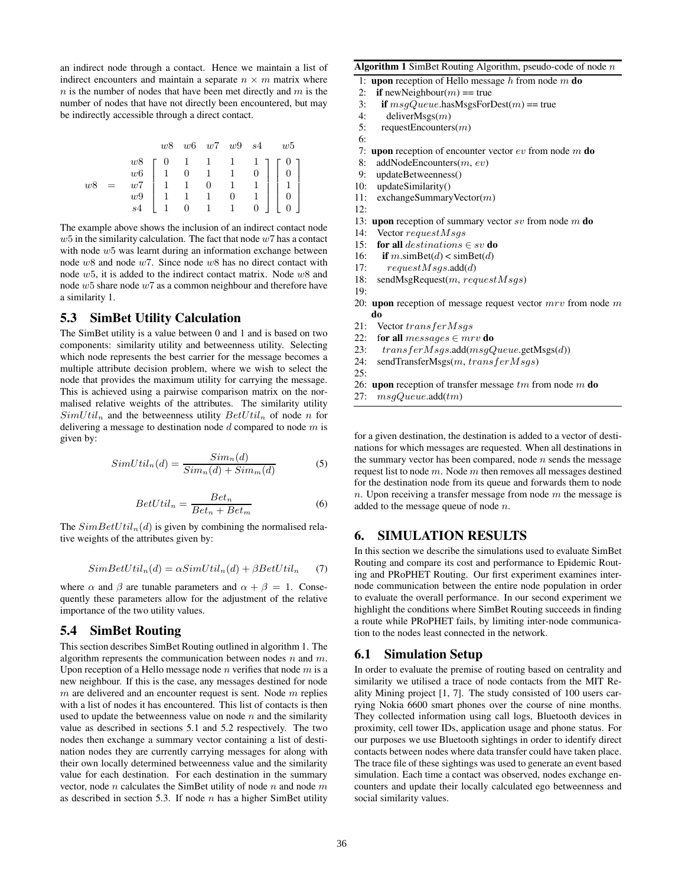an indirect node through a contact. Hence we maintain a list of indirect encounters and maintain a separate  $n \times m$  matrix where  $n$  is the number of nodes that have been met directly and  $m$  is the number of nodes that have not directly been encountered, but may be indirectly accessible through a direct contact.

|  |  |  |  | $w8$ $w6$ $w7$ $w9$ $s4$ $w5$                                                                                                                                                                                                                                                                                       |
|--|--|--|--|---------------------------------------------------------------------------------------------------------------------------------------------------------------------------------------------------------------------------------------------------------------------------------------------------------------------|
|  |  |  |  | $w8 \hspace{.2cm} = \hspace{.2cm} \begin{array}{c} w8 \\ w6 \\ w7 \\ w9 \\ s4 \end{array} \left[ \begin{array}{rrrrrr} 0 & 1 & 1 & 1 & 1 \\ 1 & 0 & 1 & 1 & 0 \\ 1 & 1 & 0 & 1 & 1 \\ 1 & 1 & 1 & 0 & 1 \\ 1 & 0 & 1 & 1 & 0 \end{array} \right] \left[ \begin{array}{c} 0 \\ 0 \\ 1 \\ 0 \\ 0 \end{array} \right]$ |
|  |  |  |  |                                                                                                                                                                                                                                                                                                                     |
|  |  |  |  |                                                                                                                                                                                                                                                                                                                     |
|  |  |  |  |                                                                                                                                                                                                                                                                                                                     |
|  |  |  |  |                                                                                                                                                                                                                                                                                                                     |

The example above shows the inclusion of an indirect contact node  $w5$  in the similarity calculation. The fact that node  $w7$  has a contact with node  $w5$  was learnt during an information exchange between node  $w8$  and node  $w7$ . Since node  $w8$  has no direct contact with node w5, it is added to the indirect contact matrix. Node w8 and node w5 share node w7 as a common neighbour and therefore have a similarity 1.

# **5.3 SimBet Utility Calculation**

The SimBet utility is a value between 0 and 1 and is based on two components: similarity utility and betweenness utility. Selecting which node represents the best carrier for the message becomes a multiple attribute decision problem, where we wish to select the node that provides the maximum utility for carrying the message. This is achieved using a pairwise comparison matrix on the normalised relative weights of the attributes. The similarity utility  $SimUtil_n$  and the betweenness utility  $BetUtil_n$  of node n for delivering a message to destination node  $d$  compared to node  $m$  is given by:

$$
SimUtil_n(d) = \frac{Sim_n(d)}{Sim_n(d) + Sim_m(d)} \tag{5}
$$

$$
BetUtil_n = \frac{Bet_n}{Bet_n + Bet_m}
$$
 (6)

The  $SimBetUtil<sub>n</sub>(d)$  is given by combining the normalised relative weights of the attributes given by:

$$
SimBetUtil_n(d) = \alpha SimUtil_n(d) + \beta BetUtil_n \qquad (7)
$$

where  $\alpha$  and  $\beta$  are tunable parameters and  $\alpha + \beta = 1$ . Consequently these parameters allow for the adjustment of the relative importance of the two utility values.

#### **5.4 SimBet Routing**

This section describes SimBet Routing outlined in algorithm 1. The algorithm represents the communication between nodes  $n$  and  $m$ . Upon reception of a Hello message node  $n$  verifies that node  $m$  is a new neighbour. If this is the case, any messages destined for node  $m$  are delivered and an encounter request is sent. Node  $m$  replies with a list of nodes it has encountered. This list of contacts is then used to update the betweenness value on node  $n$  and the similarity value as described in sections 5.1 and 5.2 respectively. The two nodes then exchange a summary vector containing a list of destination nodes they are currently carrying messages for along with their own locally determined betweenness value and the similarity value for each destination. For each destination in the summary vector, node  $n$  calculates the SimBet utility of node  $n$  and node  $m$ as described in section 5.3. If node  $n$  has a higher SimBet utility

#### **Algorithm 1** SimBet Routing Algorithm, pseudo-code of node n

1: **upon** reception of Hello message h from node m **do**

- 2: **if** new Neighbour $(m) ==$  true
- 3: **if**  $msgQueue$ .hasMsgsForDest(*m*) == true<br>4: deliverMsgs(*m*)
- 4: deliverMsgs $(m)$ <br>5: requestEncounter
- $requestEncounters(m)$
- 6:
- 7: **upon** reception of encounter vector ev from node m **do**
- 8: addNodeEncounters $(m, ev)$
- 9: updateBetweenness()
- 10: updateSimilarity()
- 11: exchangeSummaryVector(m)
- $12:$
- 13: **upon** reception of summary vector sv from node m **do**
- 14: Vector requestMsgs
- 15: **for all** destinations  $\in$  sv **do**<br>16: **if** m.simBet(d)  $\lt$  simBet(d)
- if  $m$ .simBet( $d$ ) < simBet( $d$ )
- 17:  $requestMsgs.add(d)$
- 18: sendMsgRequest(m, requestMsgs)
- 20: **upon** reception of message request vector mrv from node m **do**
- 21: Vector transferMsgs
- 22: **for all** messages  $\in$  mrv **do**<br>23: *transferMsos* add(msof)
- 23:  $transferMsgs.add(msgQueue.getMsgs(d))$ <br>
24:  $sendTransferMsgs(m, transferMsgs)$
- $22$ sendTransferMsgs(m, transferMsgs)
- $25$

19:

- 26: **upon** reception of transfer message tm from node m **do**
- 27: msgQueue.add(tm)

for a given destination, the destination is added to a vector of destinations for which messages are requested. When all destinations in the summary vector has been compared, node  $n$  sends the message request list to node  $m$ . Node  $m$  then removes all messages destined for the destination node from its queue and forwards them to node n. Upon receiving a transfer message from node  $m$  the message is added to the message queue of node n.

# **6. SIMULATION RESULTS**

In this section we describe the simulations used to evaluate SimBet Routing and compare its cost and performance to Epidemic Routing and PRoPHET Routing. Our first experiment examines internode communication between the entire node population in order to evaluate the overall performance. In our second experiment we highlight the conditions where SimBet Routing succeeds in finding a route while PRoPHET fails, by limiting inter-node communication to the nodes least connected in the network.

#### **6.1 Simulation Setup**

In order to evaluate the premise of routing based on centrality and similarity we utilised a trace of node contacts from the MIT Reality Mining project [1, 7]. The study consisted of 100 users carrying Nokia 6600 smart phones over the course of nine months. They collected information using call logs, Bluetooth devices in proximity, cell tower IDs, application usage and phone status. For our purposes we use Bluetooth sightings in order to identify direct contacts between nodes where data transfer could have taken place. The trace file of these sightings was used to generate an event based simulation. Each time a contact was observed, nodes exchange encounters and update their locally calculated ego betweenness and social similarity values.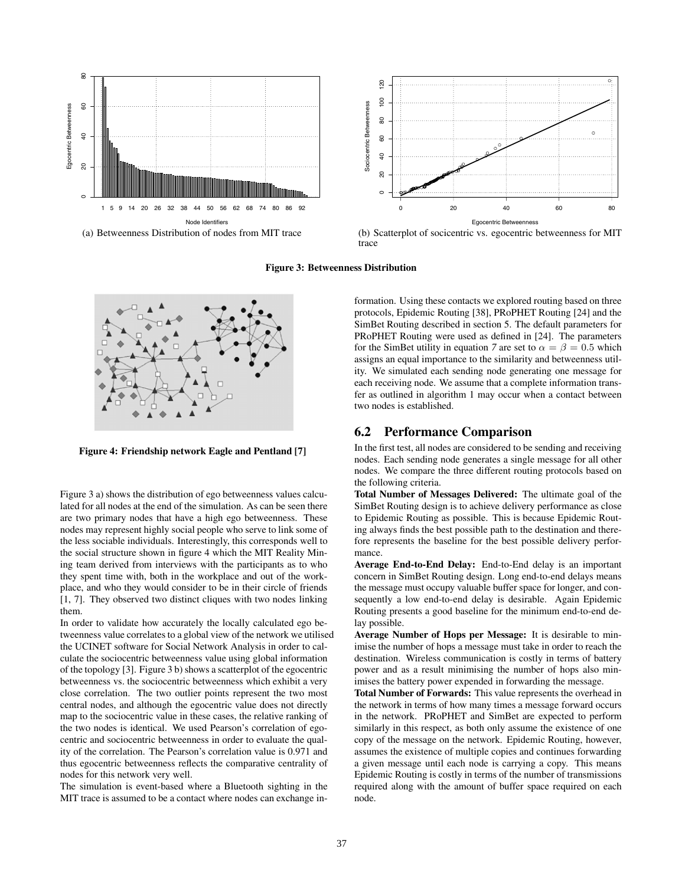



(b) Scatterplot of socicentric vs. egocentric betweenness for MIT trace



**Figure 3: Betweenness Distribution**



**Figure 4: Friendship network Eagle and Pentland [7]**

Figure 3 a) shows the distribution of ego betweenness values calculated for all nodes at the end of the simulation. As can be seen there are two primary nodes that have a high ego betweenness. These nodes may represent highly social people who serve to link some of the less sociable individuals. Interestingly, this corresponds well to the social structure shown in figure 4 which the MIT Reality Mining team derived from interviews with the participants as to who they spent time with, both in the workplace and out of the workplace, and who they would consider to be in their circle of friends [1, 7]. They observed two distinct cliques with two nodes linking them.

In order to validate how accurately the locally calculated ego betweenness value correlates to a global view of the network we utilised the UCINET software for Social Network Analysis in order to calculate the sociocentric betweenness value using global information of the topology [3]. Figure 3 b) shows a scatterplot of the egocentric betweenness vs. the sociocentric betweenness which exhibit a very close correlation. The two outlier points represent the two most central nodes, and although the egocentric value does not directly map to the sociocentric value in these cases, the relative ranking of the two nodes is identical. We used Pearson's correlation of egocentric and sociocentric betweenness in order to evaluate the quality of the correlation. The Pearson's correlation value is 0.971 and thus egocentric betweenness reflects the comparative centrality of nodes for this network very well.

The simulation is event-based where a Bluetooth sighting in the MIT trace is assumed to be a contact where nodes can exchange information. Using these contacts we explored routing based on three protocols, Epidemic Routing [38], PRoPHET Routing [24] and the SimBet Routing described in section 5. The default parameters for PRoPHET Routing were used as defined in [24]. The parameters for the SimBet utility in equation 7 are set to  $\alpha = \beta = 0.5$  which assigns an equal importance to the similarity and betweenness utility. We simulated each sending node generating one message for each receiving node. We assume that a complete information transfer as outlined in algorithm 1 may occur when a contact between two nodes is established.

# **6.2 Performance Comparison**

In the first test, all nodes are considered to be sending and receiving nodes. Each sending node generates a single message for all other nodes. We compare the three different routing protocols based on the following criteria.

**Total Number of Messages Delivered:** The ultimate goal of the SimBet Routing design is to achieve delivery performance as close to Epidemic Routing as possible. This is because Epidemic Routing always finds the best possible path to the destination and therefore represents the baseline for the best possible delivery performance.

**Average End-to-End Delay:** End-to-End delay is an important concern in SimBet Routing design. Long end-to-end delays means the message must occupy valuable buffer space for longer, and consequently a low end-to-end delay is desirable. Again Epidemic Routing presents a good baseline for the minimum end-to-end delay possible.

**Average Number of Hops per Message:** It is desirable to minimise the number of hops a message must take in order to reach the destination. Wireless communication is costly in terms of battery power and as a result minimising the number of hops also minimises the battery power expended in forwarding the message.

**Total Number of Forwards:** This value represents the overhead in the network in terms of how many times a message forward occurs in the network. PRoPHET and SimBet are expected to perform similarly in this respect, as both only assume the existence of one copy of the message on the network. Epidemic Routing, however, assumes the existence of multiple copies and continues forwarding a given message until each node is carrying a copy. This means Epidemic Routing is costly in terms of the number of transmissions required along with the amount of buffer space required on each node.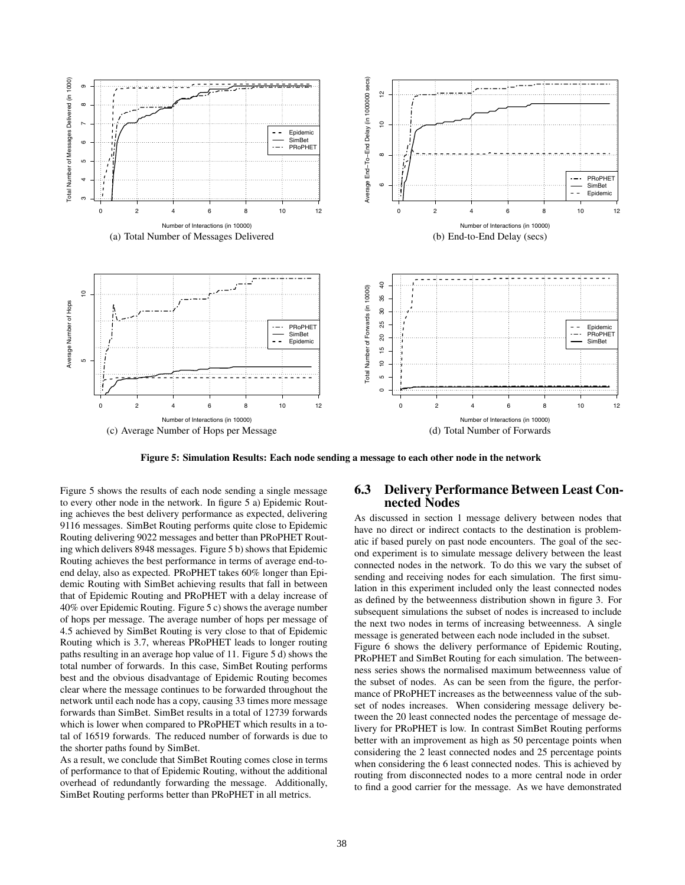

**Figure 5: Simulation Results: Each node sending a message to each other node in the network**

Figure 5 shows the results of each node sending a single message to every other node in the network. In figure 5 a) Epidemic Routing achieves the best delivery performance as expected, delivering 9116 messages. SimBet Routing performs quite close to Epidemic Routing delivering 9022 messages and better than PRoPHET Routing which delivers 8948 messages. Figure 5 b) shows that Epidemic Routing achieves the best performance in terms of average end-toend delay, also as expected. PRoPHET takes 60% longer than Epidemic Routing with SimBet achieving results that fall in between that of Epidemic Routing and PRoPHET with a delay increase of 40% over Epidemic Routing. Figure 5 c) shows the average number of hops per message. The average number of hops per message of 4.5 achieved by SimBet Routing is very close to that of Epidemic Routing which is 3.7, whereas PRoPHET leads to longer routing paths resulting in an average hop value of 11. Figure 5 d) shows the total number of forwards. In this case, SimBet Routing performs best and the obvious disadvantage of Epidemic Routing becomes clear where the message continues to be forwarded throughout the network until each node has a copy, causing 33 times more message forwards than SimBet. SimBet results in a total of 12739 forwards which is lower when compared to PRoPHET which results in a total of 16519 forwards. The reduced number of forwards is due to the shorter paths found by SimBet.

As a result, we conclude that SimBet Routing comes close in terms of performance to that of Epidemic Routing, without the additional overhead of redundantly forwarding the message. Additionally, SimBet Routing performs better than PRoPHET in all metrics.

### **6.3 Delivery Performance Between Least Connected Nodes**

As discussed in section 1 message delivery between nodes that have no direct or indirect contacts to the destination is problematic if based purely on past node encounters. The goal of the second experiment is to simulate message delivery between the least connected nodes in the network. To do this we vary the subset of sending and receiving nodes for each simulation. The first simulation in this experiment included only the least connected nodes as defined by the betweenness distribution shown in figure 3. For subsequent simulations the subset of nodes is increased to include the next two nodes in terms of increasing betweenness. A single message is generated between each node included in the subset. Figure 6 shows the delivery performance of Epidemic Routing, PRoPHET and SimBet Routing for each simulation. The betweenness series shows the normalised maximum betweenness value of the subset of nodes. As can be seen from the figure, the performance of PRoPHET increases as the betweenness value of the subset of nodes increases. When considering message delivery between the 20 least connected nodes the percentage of message delivery for PRoPHET is low. In contrast SimBet Routing performs better with an improvement as high as 50 percentage points when considering the 2 least connected nodes and 25 percentage points when considering the 6 least connected nodes. This is achieved by routing from disconnected nodes to a more central node in order to find a good carrier for the message. As we have demonstrated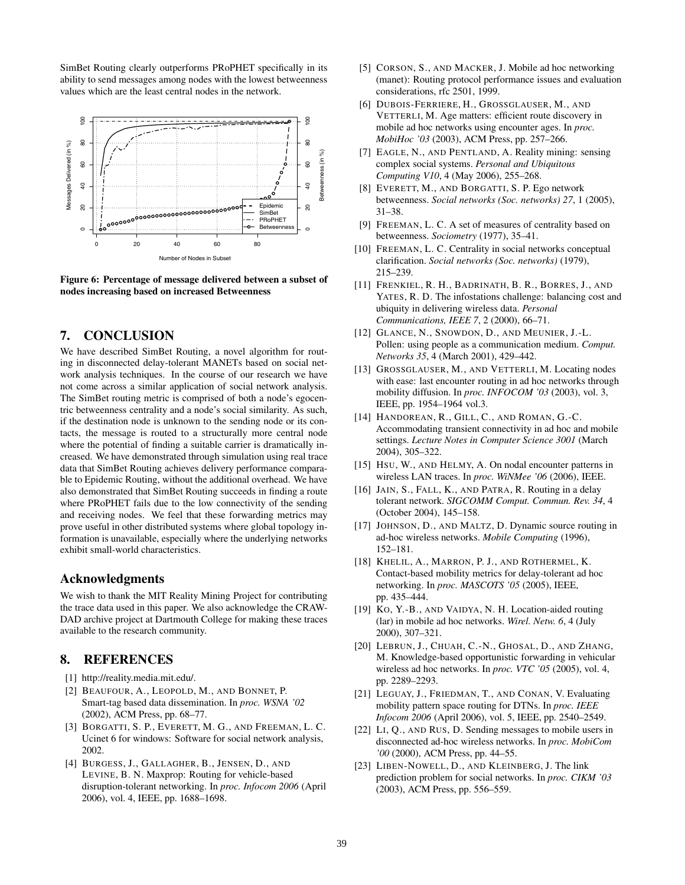SimBet Routing clearly outperforms PRoPHET specifically in its ability to send messages among nodes with the lowest betweenness values which are the least central nodes in the network.



**Figure 6: Percentage of message delivered between a subset of nodes increasing based on increased Betweenness**

# **7. CONCLUSION**

We have described SimBet Routing, a novel algorithm for routing in disconnected delay-tolerant MANETs based on social network analysis techniques. In the course of our research we have not come across a similar application of social network analysis. The SimBet routing metric is comprised of both a node's egocentric betweenness centrality and a node's social similarity. As such, if the destination node is unknown to the sending node or its contacts, the message is routed to a structurally more central node where the potential of finding a suitable carrier is dramatically increased. We have demonstrated through simulation using real trace data that SimBet Routing achieves delivery performance comparable to Epidemic Routing, without the additional overhead. We have also demonstrated that SimBet Routing succeeds in finding a route where PRoPHET fails due to the low connectivity of the sending and receiving nodes. We feel that these forwarding metrics may prove useful in other distributed systems where global topology information is unavailable, especially where the underlying networks exhibit small-world characteristics.

#### **Acknowledgments**

We wish to thank the MIT Reality Mining Project for contributing the trace data used in this paper. We also acknowledge the CRAW-DAD archive project at Dartmouth College for making these traces available to the research community.

# **8. REFERENCES**

- [1] http://reality.media.mit.edu/.
- [2] BEAUFOUR, A., LEOPOLD, M., AND BONNET, P. Smart-tag based data dissemination. In *proc. WSNA '02* (2002), ACM Press, pp. 68–77.
- [3] BORGATTI, S. P., EVERETT, M. G., AND FREEMAN, L. C. Ucinet 6 for windows: Software for social network analysis, 2002.
- [4] BURGESS, J., GALLAGHER, B., JENSEN, D., AND LEVINE, B. N. Maxprop: Routing for vehicle-based disruption-tolerant networking. In *proc. Infocom 2006* (April 2006), vol. 4, IEEE, pp. 1688–1698.
- [5] CORSON, S., AND MACKER, J. Mobile ad hoc networking (manet): Routing protocol performance issues and evaluation considerations, rfc 2501, 1999.
- [6] DUBOIS-FERRIERE, H., GROSSGLAUSER, M., AND VETTERLI, M. Age matters: efficient route discovery in mobile ad hoc networks using encounter ages. In *proc. MobiHoc '03* (2003), ACM Press, pp. 257–266.
- [7] EAGLE, N., AND PENTLAND, A. Reality mining: sensing complex social systems. *Personal and Ubiquitous Computing V10*, 4 (May 2006), 255–268.
- [8] EVERETT, M., AND BORGATTI, S. P. Ego network betweenness. *Social networks (Soc. networks) 27*, 1 (2005), 31–38.
- [9] FREEMAN, L. C. A set of measures of centrality based on betweenness. *Sociometry* (1977), 35–41.
- [10] FREEMAN, L. C. Centrality in social networks conceptual clarification. *Social networks (Soc. networks)* (1979), 215–239.
- [11] FRENKIEL, R. H., BADRINATH, B. R., BORRES, J., AND YATES, R. D. The infostations challenge: balancing cost and ubiquity in delivering wireless data. *Personal Communications, IEEE 7*, 2 (2000), 66–71.
- [12] GLANCE, N., SNOWDON, D., AND MEUNIER, J.-L. Pollen: using people as a communication medium. *Comput. Networks 35*, 4 (March 2001), 429–442.
- [13] GROSSGLAUSER, M., AND VETTERLI, M. Locating nodes with ease: last encounter routing in ad hoc networks through mobility diffusion. In *proc. INFOCOM '03* (2003), vol. 3, IEEE, pp. 1954–1964 vol.3.
- [14] HANDOREAN, R., GILL, C., AND ROMAN, G.-C. Accommodating transient connectivity in ad hoc and mobile settings. *Lecture Notes in Computer Science 3001* (March 2004), 305–322.
- [15] HSU, W., AND HELMY, A. On nodal encounter patterns in wireless LAN traces. In *proc. WiNMee '06* (2006), IEEE.
- [16] JAIN, S., FALL, K., AND PATRA, R. Routing in a delay tolerant network. *SIGCOMM Comput. Commun. Rev. 34*, 4 (October 2004), 145–158.
- [17] JOHNSON, D., AND MALTZ, D. Dynamic source routing in ad-hoc wireless networks. *Mobile Computing* (1996), 152–181.
- [18] KHELIL, A., MARRON, P. J., AND ROTHERMEL, K. Contact-based mobility metrics for delay-tolerant ad hoc networking. In *proc. MASCOTS '05* (2005), IEEE, pp. 435–444.
- [19] KO, Y.-B., AND VAIDYA, N. H. Location-aided routing (lar) in mobile ad hoc networks. *Wirel. Netw. 6*, 4 (July 2000), 307–321.
- [20] LEBRUN, J., CHUAH, C.-N., GHOSAL, D., AND ZHANG, M. Knowledge-based opportunistic forwarding in vehicular wireless ad hoc networks. In *proc. VTC '05* (2005), vol. 4, pp. 2289–2293.
- [21] LEGUAY, J., FRIEDMAN, T., AND CONAN, V. Evaluating mobility pattern space routing for DTNs. In *proc. IEEE Infocom 2006* (April 2006), vol. 5, IEEE, pp. 2540–2549.
- [22] LI, Q., AND RUS, D. Sending messages to mobile users in disconnected ad-hoc wireless networks. In *proc. MobiCom '00* (2000), ACM Press, pp. 44–55.
- [23] LIBEN-NOWELL, D., AND KLEINBERG, J. The link prediction problem for social networks. In *proc. CIKM '03* (2003), ACM Press, pp. 556–559.